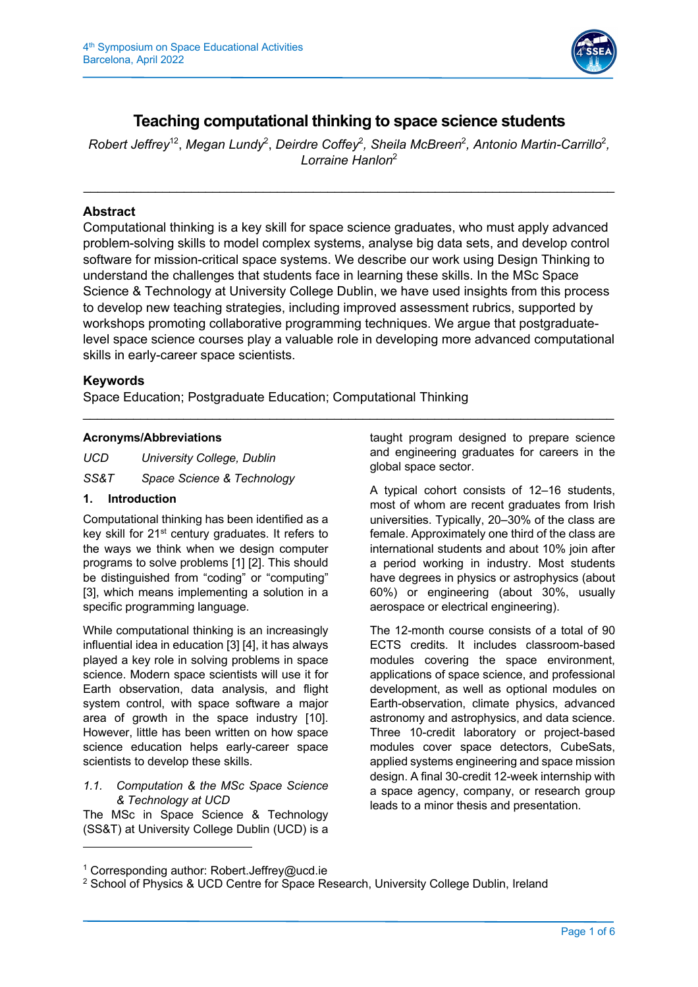

# **Teaching computational thinking to space science students**

Robert Jeffrey<sup>12</sup>, Megan Lundy<sup>2</sup>, Deirdre Coffey<sup>2</sup>, Sheila McBreen<sup>2</sup>, Antonio Martin-Carrillo<sup>2</sup>, *Lorraine Hanlon*<sup>2</sup>

# **Abstract**

Computational thinking is a key skill for space science graduates, who must apply advanced problem-solving skills to model complex systems, analyse big data sets, and develop control software for mission-critical space systems. We describe our work using Design Thinking to understand the challenges that students face in learning these skills. In the MSc Space Science & Technology at University College Dublin, we have used insights from this process to develop new teaching strategies, including improved assessment rubrics, supported by workshops promoting collaborative programming techniques. We argue that postgraduatelevel space science courses play a valuable role in developing more advanced computational skills in early-career space scientists.

# **Keywords**

Space Education; Postgraduate Education; Computational Thinking

# **Acronyms/Abbreviations**

*UCD University College, Dublin SS&T Space Science & Technology*

# **1. Introduction**

Computational thinking has been identified as a key skill for 21<sup>st</sup> century graduates. It refers to the ways we think when we design computer programs to solve problems [1] [2]. This should be distinguished from "coding" or "computing" [3], which means implementing a solution in a specific programming language.

While computational thinking is an increasingly influential idea in education [3] [4], it has always played a key role in solving problems in space science. Modern space scientists will use it for Earth observation, data analysis, and flight system control, with space software a major area of growth in the space industry [10]. However, little has been written on how space science education helps early-career space scientists to develop these skills.

# *1.1. Computation & the MSc Space Science & Technology at UCD*

The MSc in Space Science & Technology (SS&T) at University College Dublin (UCD) is a

taught program designed to prepare science and engineering graduates for careers in the global space sector.

A typical cohort consists of 12–16 students, most of whom are recent graduates from Irish universities. Typically, 20–30% of the class are female. Approximately one third of the class are international students and about 10% join after a period working in industry. Most students have degrees in physics or astrophysics (about 60%) or engineering (about 30%, usually aerospace or electrical engineering).

The 12-month course consists of a total of 90 ECTS credits. It includes classroom-based modules covering the space environment, applications of space science, and professional development, as well as optional modules on Earth-observation, climate physics, advanced astronomy and astrophysics, and data science. Three 10-credit laboratory or project-based modules cover space detectors, CubeSats, applied systems engineering and space mission design. A final 30-credit 12-week internship with a space agency, company, or research group leads to a minor thesis and presentation.

<sup>1</sup> Corresponding author: Robert.Jeffrey@ucd.ie

<sup>&</sup>lt;sup>2</sup> School of Physics & UCD Centre for Space Research, University College Dublin, Ireland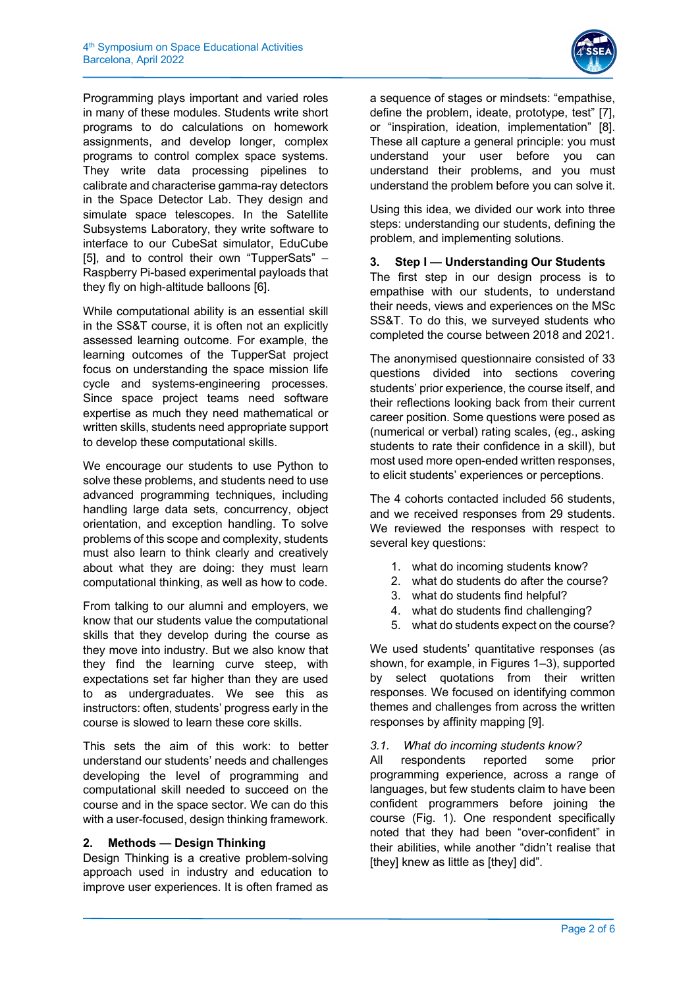

Programming plays important and varied roles in many of these modules. Students write short programs to do calculations on homework assignments, and develop longer, complex programs to control complex space systems. They write data processing pipelines to calibrate and characterise gamma-ray detectors in the Space Detector Lab. They design and simulate space telescopes. In the Satellite Subsystems Laboratory, they write software to interface to our CubeSat simulator, EduCube [5], and to control their own "TupperSats" – Raspberry Pi-based experimental payloads that they fly on high-altitude balloons [6].

While computational ability is an essential skill in the SS&T course, it is often not an explicitly assessed learning outcome. For example, the learning outcomes of the TupperSat project focus on understanding the space mission life cycle and systems-engineering processes. Since space project teams need software expertise as much they need mathematical or written skills, students need appropriate support to develop these computational skills.

We encourage our students to use Python to solve these problems, and students need to use advanced programming techniques, including handling large data sets, concurrency, object orientation, and exception handling. To solve problems of this scope and complexity, students must also learn to think clearly and creatively about what they are doing: they must learn computational thinking, as well as how to code.

From talking to our alumni and employers, we know that our students value the computational skills that they develop during the course as they move into industry. But we also know that they find the learning curve steep, with expectations set far higher than they are used to as undergraduates. We see this as instructors: often, students' progress early in the course is slowed to learn these core skills.

This sets the aim of this work: to better understand our students' needs and challenges developing the level of programming and computational skill needed to succeed on the course and in the space sector. We can do this with a user-focused, design thinking framework.

# **2. Methods — Design Thinking**

Design Thinking is a creative problem-solving approach used in industry and education to improve user experiences. It is often framed as

a sequence of stages or mindsets: "empathise, define the problem, ideate, prototype, test" [7], or "inspiration, ideation, implementation" [8]. These all capture a general principle: you must understand your user before you can understand their problems, and you must understand the problem before you can solve it.

Using this idea, we divided our work into three steps: understanding our students, defining the problem, and implementing solutions.

# **3. Step I — Understanding Our Students**

The first step in our design process is to empathise with our students, to understand their needs, views and experiences on the MSc SS&T. To do this, we surveyed students who completed the course between 2018 and 2021.

The anonymised questionnaire consisted of 33 questions divided into sections covering students' prior experience, the course itself, and their reflections looking back from their current career position. Some questions were posed as (numerical or verbal) rating scales, (eg., asking students to rate their confidence in a skill), but most used more open-ended written responses, to elicit students' experiences or perceptions.

The 4 cohorts contacted included 56 students, and we received responses from 29 students. We reviewed the responses with respect to several key questions:

- 1. what do incoming students know?
- 2. what do students do after the course?
- 3. what do students find helpful?
- 4. what do students find challenging?
- 5. what do students expect on the course?

We used students' quantitative responses (as shown, for example, in Figures 1–3), supported by select quotations from their written responses. We focused on identifying common themes and challenges from across the written responses by affinity mapping [9].

# *3.1. What do incoming students know?*

All respondents reported some prior programming experience, across a range of languages, but few students claim to have been confident programmers before joining the course (Fig. 1). One respondent specifically noted that they had been "over-confident" in their abilities, while another "didn't realise that [they] knew as little as [they] did".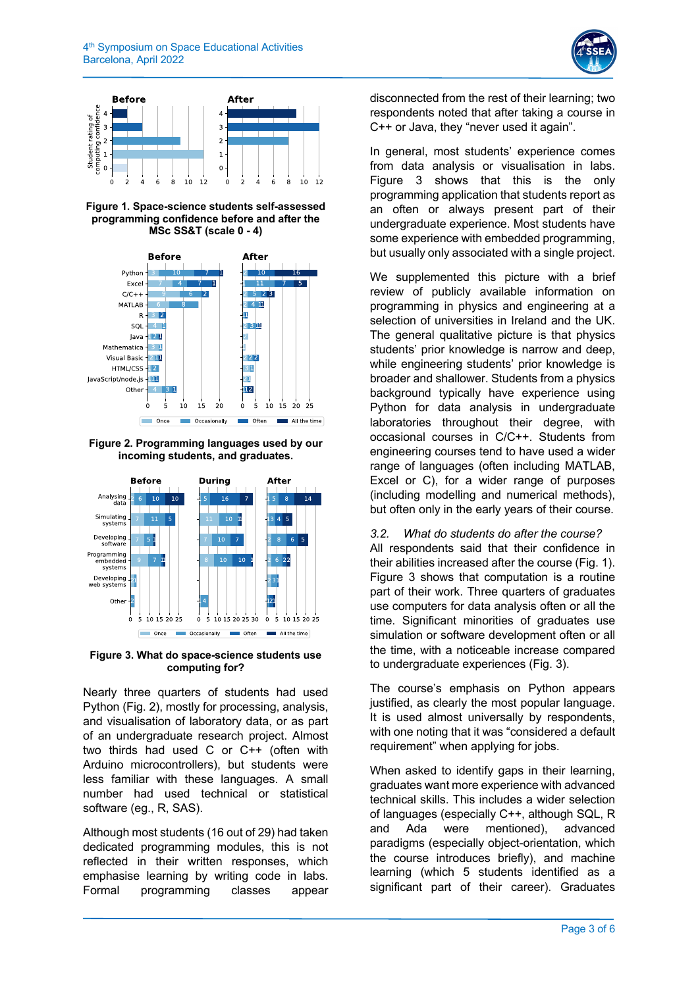



**Figure 1. Space-science students self-assessed programming confidence before and after the MSc SS&T (scale 0 - 4)**



**Figure 2. Programming languages used by our incoming students, and graduates.**



**Figure 3. What do space-science students use computing for?**

Nearly three quarters of students had used Python (Fig. 2), mostly for processing, analysis, and visualisation of laboratory data, or as part of an undergraduate research project. Almost two thirds had used C or C++ (often with Arduino microcontrollers), but students were less familiar with these languages. A small number had used technical or statistical software (eg., R, SAS).

Although most students (16 out of 29) had taken dedicated programming modules, this is not reflected in their written responses, which emphasise learning by writing code in labs. Formal programming classes appear

disconnected from the rest of their learning; two respondents noted that after taking a course in C++ or Java, they "never used it again".

In general, most students' experience comes from data analysis or visualisation in labs. Figure 3 shows that this is the only programming application that students report as an often or always present part of their undergraduate experience. Most students have some experience with embedded programming, but usually only associated with a single project.

We supplemented this picture with a brief review of publicly available information on programming in physics and engineering at a selection of universities in Ireland and the UK. The general qualitative picture is that physics students' prior knowledge is narrow and deep, while engineering students' prior knowledge is broader and shallower. Students from a physics background typically have experience using Python for data analysis in undergraduate laboratories throughout their degree, with occasional courses in C/C++. Students from engineering courses tend to have used a wider range of languages (often including MATLAB, Excel or C), for a wider range of purposes (including modelling and numerical methods), but often only in the early years of their course.

*3.2. What do students do after the course?* All respondents said that their confidence in their abilities increased after the course (Fig. 1). Figure 3 shows that computation is a routine part of their work. Three quarters of graduates use computers for data analysis often or all the time. Significant minorities of graduates use simulation or software development often or all the time, with a noticeable increase compared to undergraduate experiences (Fig. 3).

The course's emphasis on Python appears justified, as clearly the most popular language. It is used almost universally by respondents, with one noting that it was "considered a default requirement" when applying for jobs.

When asked to identify gaps in their learning, graduates want more experience with advanced technical skills. This includes a wider selection of languages (especially C++, although SQL, R and Ada were mentioned), advanced paradigms (especially object-orientation, which the course introduces briefly), and machine learning (which 5 students identified as a significant part of their career). Graduates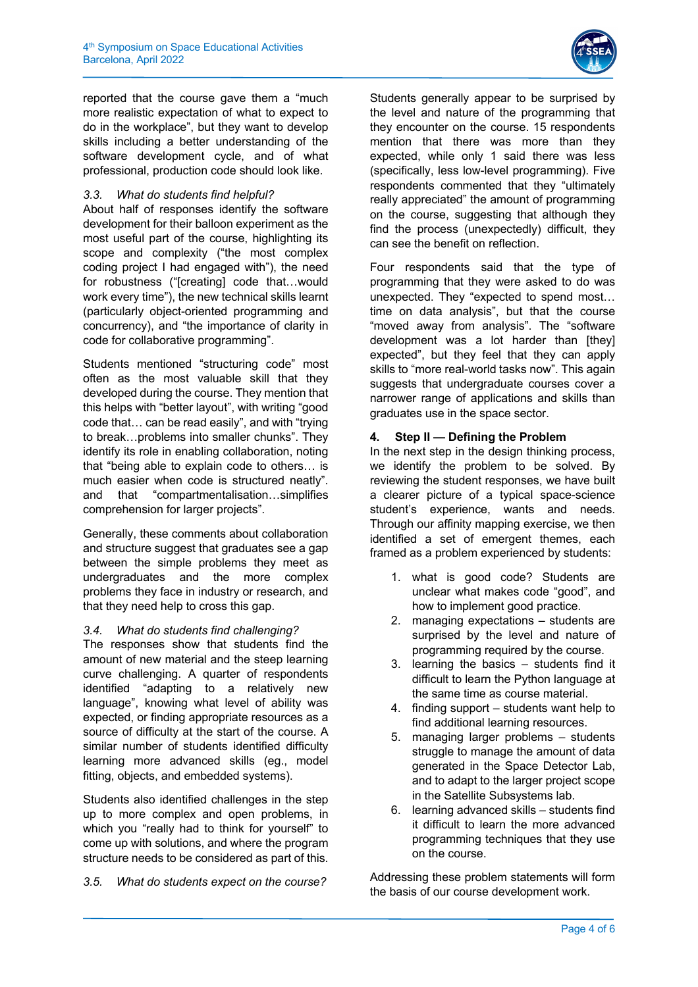

reported that the course gave them a "much more realistic expectation of what to expect to do in the workplace", but they want to develop skills including a better understanding of the software development cycle, and of what professional, production code should look like.

# *3.3. What do students find helpful?*

About half of responses identify the software development for their balloon experiment as the most useful part of the course, highlighting its scope and complexity ("the most complex coding project I had engaged with"), the need for robustness ("[creating] code that…would work every time"), the new technical skills learnt (particularly object-oriented programming and concurrency), and "the importance of clarity in code for collaborative programming".

Students mentioned "structuring code" most often as the most valuable skill that they developed during the course. They mention that this helps with "better layout", with writing "good code that… can be read easily", and with "trying to break…problems into smaller chunks". They identify its role in enabling collaboration, noting that "being able to explain code to others… is much easier when code is structured neatly". and that "compartmentalisation…simplifies comprehension for larger projects".

Generally, these comments about collaboration and structure suggest that graduates see a gap between the simple problems they meet as undergraduates and the more complex problems they face in industry or research, and that they need help to cross this gap.

# *3.4. What do students find challenging?*

The responses show that students find the amount of new material and the steep learning curve challenging. A quarter of respondents identified "adapting to a relatively new language", knowing what level of ability was expected, or finding appropriate resources as a source of difficulty at the start of the course. A similar number of students identified difficulty learning more advanced skills (eg., model fitting, objects, and embedded systems).

Students also identified challenges in the step up to more complex and open problems, in which you "really had to think for yourself" to come up with solutions, and where the program structure needs to be considered as part of this.

*3.5. What do students expect on the course?*

Students generally appear to be surprised by the level and nature of the programming that they encounter on the course. 15 respondents mention that there was more than they expected, while only 1 said there was less (specifically, less low-level programming). Five respondents commented that they "ultimately really appreciated" the amount of programming on the course, suggesting that although they find the process (unexpectedly) difficult, they can see the benefit on reflection.

Four respondents said that the type of programming that they were asked to do was unexpected. They "expected to spend most… time on data analysis", but that the course "moved away from analysis". The "software development was a lot harder than [they] expected", but they feel that they can apply skills to "more real-world tasks now". This again suggests that undergraduate courses cover a narrower range of applications and skills than graduates use in the space sector.

#### **4. Step II — Defining the Problem**

In the next step in the design thinking process, we identify the problem to be solved. By reviewing the student responses, we have built a clearer picture of a typical space-science student's experience, wants and needs. Through our affinity mapping exercise, we then identified a set of emergent themes, each framed as a problem experienced by students:

- 1. what is good code? Students are unclear what makes code "good", and how to implement good practice.
- 2. managing expectations students are surprised by the level and nature of programming required by the course.
- 3. learning the basics students find it difficult to learn the Python language at the same time as course material.
- 4. finding support students want help to find additional learning resources.
- 5. managing larger problems students struggle to manage the amount of data generated in the Space Detector Lab, and to adapt to the larger project scope in the Satellite Subsystems lab.
- 6. learning advanced skills students find it difficult to learn the more advanced programming techniques that they use on the course.

Addressing these problem statements will form the basis of our course development work.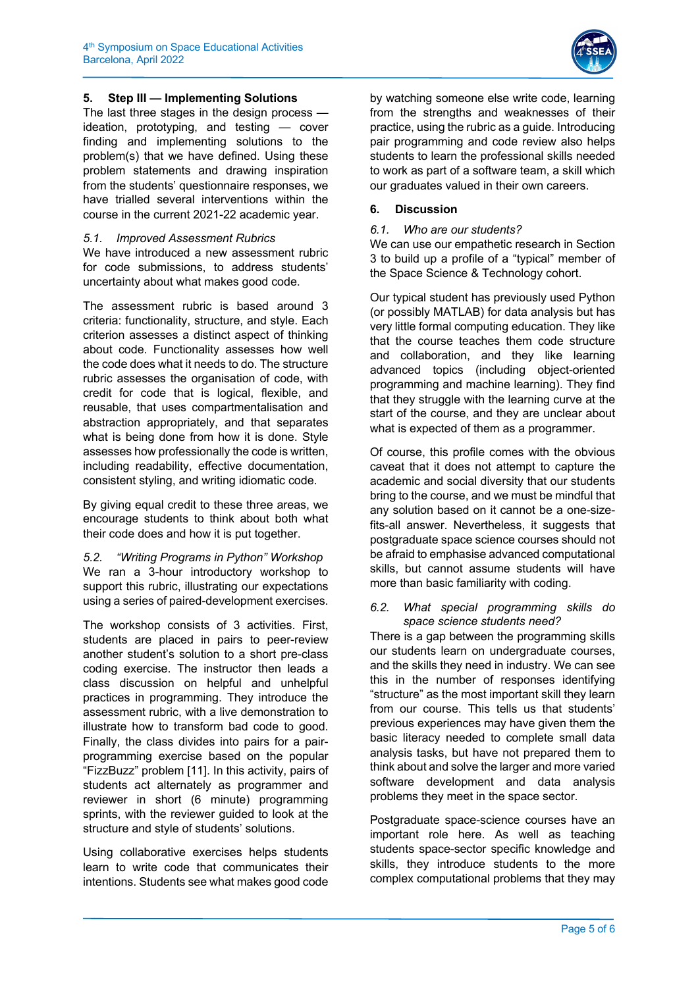

# **5. Step III — Implementing Solutions**

The last three stages in the design process ideation, prototyping, and testing — cover finding and implementing solutions to the problem(s) that we have defined. Using these problem statements and drawing inspiration from the students' questionnaire responses, we have trialled several interventions within the course in the current 2021-22 academic year.

# *5.1. Improved Assessment Rubrics*

We have introduced a new assessment rubric for code submissions, to address students' uncertainty about what makes good code.

The assessment rubric is based around 3 criteria: functionality, structure, and style. Each criterion assesses a distinct aspect of thinking about code. Functionality assesses how well the code does what it needs to do. The structure rubric assesses the organisation of code, with credit for code that is logical, flexible, and reusable, that uses compartmentalisation and abstraction appropriately, and that separates what is being done from how it is done. Style assesses how professionally the code is written, including readability, effective documentation, consistent styling, and writing idiomatic code.

By giving equal credit to these three areas, we encourage students to think about both what their code does and how it is put together.

*5.2. "Writing Programs in Python" Workshop* We ran a 3-hour introductory workshop to support this rubric, illustrating our expectations using a series of paired-development exercises.

The workshop consists of 3 activities. First, students are placed in pairs to peer-review another student's solution to a short pre-class coding exercise. The instructor then leads a class discussion on helpful and unhelpful practices in programming. They introduce the assessment rubric, with a live demonstration to illustrate how to transform bad code to good. Finally, the class divides into pairs for a pairprogramming exercise based on the popular "FizzBuzz" problem [11]. In this activity, pairs of students act alternately as programmer and reviewer in short (6 minute) programming sprints, with the reviewer guided to look at the structure and style of students' solutions.

Using collaborative exercises helps students learn to write code that communicates their intentions. Students see what makes good code by watching someone else write code, learning from the strengths and weaknesses of their practice, using the rubric as a guide. Introducing pair programming and code review also helps students to learn the professional skills needed to work as part of a software team, a skill which our graduates valued in their own careers.

### **6. Discussion**

#### *6.1. Who are our students?*

We can use our empathetic research in Section 3 to build up a profile of a "typical" member of the Space Science & Technology cohort.

Our typical student has previously used Python (or possibly MATLAB) for data analysis but has very little formal computing education. They like that the course teaches them code structure and collaboration, and they like learning advanced topics (including object-oriented programming and machine learning). They find that they struggle with the learning curve at the start of the course, and they are unclear about what is expected of them as a programmer.

Of course, this profile comes with the obvious caveat that it does not attempt to capture the academic and social diversity that our students bring to the course, and we must be mindful that any solution based on it cannot be a one-sizefits-all answer. Nevertheless, it suggests that postgraduate space science courses should not be afraid to emphasise advanced computational skills, but cannot assume students will have more than basic familiarity with coding.

#### *6.2. What special programming skills do space science students need?*

There is a gap between the programming skills our students learn on undergraduate courses, and the skills they need in industry. We can see this in the number of responses identifying "structure" as the most important skill they learn from our course. This tells us that students' previous experiences may have given them the basic literacy needed to complete small data analysis tasks, but have not prepared them to think about and solve the larger and more varied software development and data analysis problems they meet in the space sector.

Postgraduate space-science courses have an important role here. As well as teaching students space-sector specific knowledge and skills, they introduce students to the more complex computational problems that they may